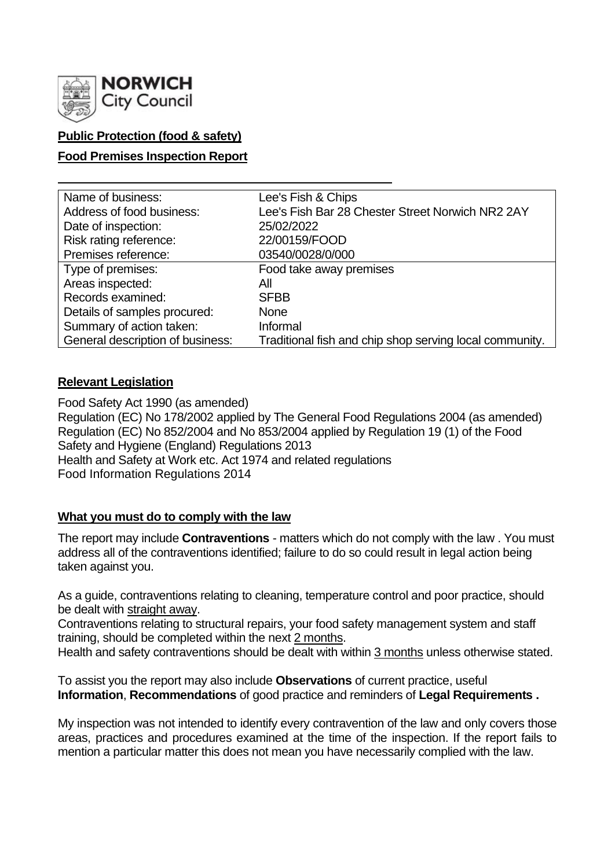

## **Public Protection (food & safety)**

### **Food Premises Inspection Report**

| Name of business:                | Lee's Fish & Chips                                      |
|----------------------------------|---------------------------------------------------------|
| Address of food business:        | Lee's Fish Bar 28 Chester Street Norwich NR2 2AY        |
| Date of inspection:              | 25/02/2022                                              |
| Risk rating reference:           | 22/00159/FOOD                                           |
| Premises reference:              | 03540/0028/0/000                                        |
| Type of premises:                | Food take away premises                                 |
| Areas inspected:                 | All                                                     |
| Records examined:                | <b>SFBB</b>                                             |
| Details of samples procured:     | <b>None</b>                                             |
| Summary of action taken:         | Informal                                                |
| General description of business: | Traditional fish and chip shop serving local community. |

### **Relevant Legislation**

Food Safety Act 1990 (as amended) Regulation (EC) No 178/2002 applied by The General Food Regulations 2004 (as amended) Regulation (EC) No 852/2004 and No 853/2004 applied by Regulation 19 (1) of the Food Safety and Hygiene (England) Regulations 2013 Health and Safety at Work etc. Act 1974 and related regulations Food Information Regulations 2014

### **What you must do to comply with the law**

The report may include **Contraventions** - matters which do not comply with the law . You must address all of the contraventions identified; failure to do so could result in legal action being taken against you.

As a guide, contraventions relating to cleaning, temperature control and poor practice, should be dealt with straight away.

Contraventions relating to structural repairs, your food safety management system and staff training, should be completed within the next 2 months.

Health and safety contraventions should be dealt with within 3 months unless otherwise stated.

To assist you the report may also include **Observations** of current practice, useful **Information**, **Recommendations** of good practice and reminders of **Legal Requirements .**

My inspection was not intended to identify every contravention of the law and only covers those areas, practices and procedures examined at the time of the inspection. If the report fails to mention a particular matter this does not mean you have necessarily complied with the law.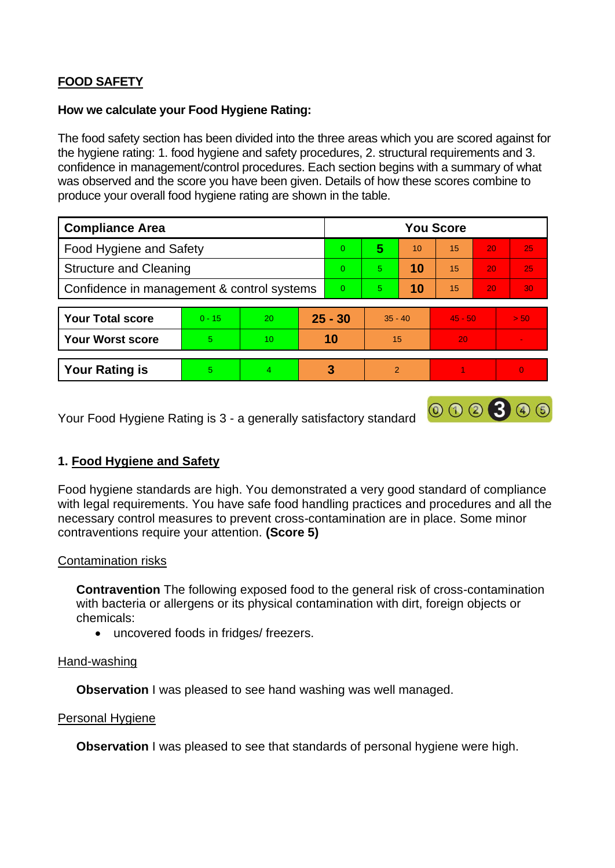# **FOOD SAFETY**

### **How we calculate your Food Hygiene Rating:**

The food safety section has been divided into the three areas which you are scored against for the hygiene rating: 1. food hygiene and safety procedures, 2. structural requirements and 3. confidence in management/control procedures. Each section begins with a summary of what was observed and the score you have been given. Details of how these scores combine to produce your overall food hygiene rating are shown in the table.

| <b>Compliance Area</b>                     |          |    |           | <b>You Score</b> |               |    |           |    |                |  |
|--------------------------------------------|----------|----|-----------|------------------|---------------|----|-----------|----|----------------|--|
| Food Hygiene and Safety                    |          |    |           | $\Omega$         | 5             | 10 | 15        | 20 | 25             |  |
| <b>Structure and Cleaning</b>              |          |    |           | $\Omega$         | 5.            | 10 | 15        | 20 | 25             |  |
| Confidence in management & control systems |          |    |           | $\Omega$         | 5.            | 10 | 15        | 20 | 30             |  |
|                                            |          |    |           |                  |               |    |           |    |                |  |
| <b>Your Total score</b>                    | $0 - 15$ | 20 | $25 - 30$ |                  | $35 - 40$     |    | $45 - 50$ |    | > 50           |  |
| <b>Your Worst score</b>                    | 5        | 10 | 10        |                  | 15            |    | 20        |    | $\blacksquare$ |  |
|                                            |          |    |           |                  |               |    |           |    |                |  |
| <b>Your Rating is</b>                      | 5        | 4  |           | 3                | $\mathcal{P}$ |    |           |    | $\overline{0}$ |  |

Your Food Hygiene Rating is 3 - a generally satisfactory standard

## **1. Food Hygiene and Safety**

Food hygiene standards are high. You demonstrated a very good standard of compliance with legal requirements. You have safe food handling practices and procedures and all the necessary control measures to prevent cross-contamination are in place. Some minor contraventions require your attention. **(Score 5)**

000300

### Contamination risks

**Contravention** The following exposed food to the general risk of cross-contamination with bacteria or allergens or its physical contamination with dirt, foreign objects or chemicals:

• uncovered foods in fridges/ freezers.

#### Hand-washing

**Observation** I was pleased to see hand washing was well managed.

#### Personal Hygiene

**Observation** I was pleased to see that standards of personal hygiene were high.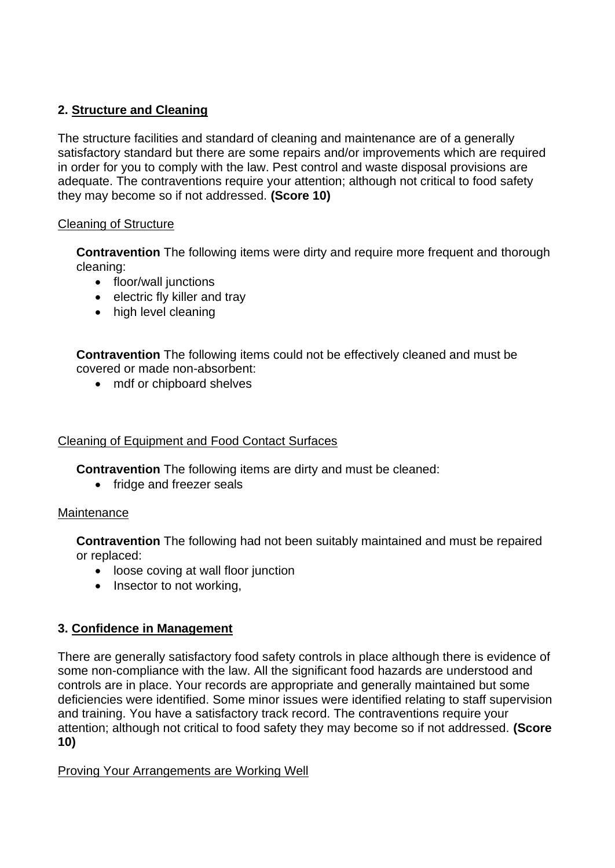## **2. Structure and Cleaning**

The structure facilities and standard of cleaning and maintenance are of a generally satisfactory standard but there are some repairs and/or improvements which are required in order for you to comply with the law. Pest control and waste disposal provisions are adequate. The contraventions require your attention; although not critical to food safety they may become so if not addressed. **(Score 10)**

### Cleaning of Structure

**Contravention** The following items were dirty and require more frequent and thorough cleaning:

- floor/wall junctions
- electric fly killer and tray
- high level cleaning

**Contravention** The following items could not be effectively cleaned and must be covered or made non-absorbent:

• mdf or chipboard shelves

### Cleaning of Equipment and Food Contact Surfaces

**Contravention** The following items are dirty and must be cleaned:

• fridge and freezer seals

### **Maintenance**

**Contravention** The following had not been suitably maintained and must be repaired or replaced:

- loose coving at wall floor junction
- Insector to not working,

## **3. Confidence in Management**

There are generally satisfactory food safety controls in place although there is evidence of some non-compliance with the law. All the significant food hazards are understood and controls are in place. Your records are appropriate and generally maintained but some deficiencies were identified. Some minor issues were identified relating to staff supervision and training. You have a satisfactory track record. The contraventions require your attention; although not critical to food safety they may become so if not addressed. **(Score 10)**

### Proving Your Arrangements are Working Well